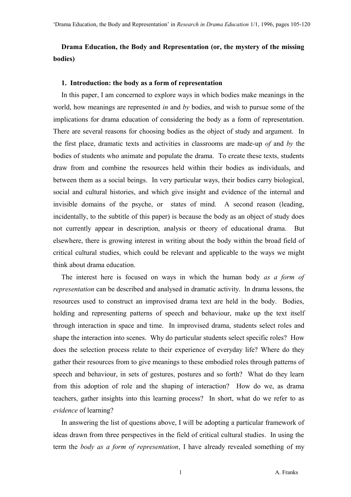# **Drama Education, the Body and Representation (or, the mystery of the missing bodies)**

## **1. Introduction: the body as a form of representation**

In this paper, I am concerned to explore ways in which bodies make meanings in the world, how meanings are represented *in* and *by* bodies, and wish to pursue some of the implications for drama education of considering the body as a form of representation. There are several reasons for choosing bodies as the object of study and argument. In the first place, dramatic texts and activities in classrooms are made-up *of* and *by* the bodies of students who animate and populate the drama. To create these texts, students draw from and combine the resources held within their bodies as individuals, and between them as a social beings. In very particular ways, their bodies carry biological, social and cultural histories, and which give insight and evidence of the internal and invisible domains of the psyche, or states of mind. A second reason (leading, incidentally, to the subtitle of this paper) is because the body as an object of study does not currently appear in description, analysis or theory of educational drama. But elsewhere, there is growing interest in writing about the body within the broad field of critical cultural studies, which could be relevant and applicable to the ways we might think about drama education.

The interest here is focused on ways in which the human body *as a form of representation* can be described and analysed in dramatic activity. In drama lessons, the resources used to construct an improvised drama text are held in the body. Bodies, holding and representing patterns of speech and behaviour, make up the text itself through interaction in space and time. In improvised drama, students select roles and shape the interaction into scenes. Why do particular students select specific roles? How does the selection process relate to their experience of everyday life? Where do they gather their resources from to give meanings to these embodied roles through patterns of speech and behaviour, in sets of gestures, postures and so forth? What do they learn from this adoption of role and the shaping of interaction? How do we, as drama teachers, gather insights into this learning process? In short, what do we refer to as *evidence* of learning?

In answering the list of questions above, I will be adopting a particular framework of ideas drawn from three perspectives in the field of critical cultural studies. In using the term the *body as a form of representation*, I have already revealed something of my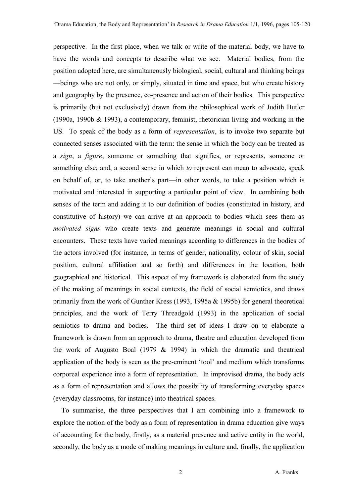perspective. In the first place, when we talk or write of the material body, we have to have the words and concepts to describe what we see. Material bodies, from the position adopted here, are simultaneously biological, social, cultural and thinking beings —beings who are not only, or simply, situated in time and space, but who create history and geography by the presence, co-presence and action of their bodies. This perspective is primarily (but not exclusively) drawn from the philosophical work of Judith Butler (1990a, 1990b & 1993), a contemporary, feminist, rhetorician living and working in the US. To speak of the body as a form of *representation*, is to invoke two separate but connected senses associated with the term: the sense in which the body can be treated as a *sign*, a *figure*, someone or something that signifies, or represents, someone or something else; and, a second sense in which *to* represent can mean to advocate, speak on behalf of, or, to take another's part—in other words, to take a position which is motivated and interested in supporting a particular point of view. In combining both senses of the term and adding it to our definition of bodies (constituted in history, and constitutive of history) we can arrive at an approach to bodies which sees them as *motivated signs* who create texts and generate meanings in social and cultural encounters. These texts have varied meanings according to differences in the bodies of the actors involved (for instance, in terms of gender, nationality, colour of skin, social position, cultural affiliation and so forth) and differences in the location, both geographical and historical. This aspect of my framework is elaborated from the study of the making of meanings in social contexts, the field of social semiotics, and draws primarily from the work of Gunther Kress (1993, 1995a  $\&$  1995b) for general theoretical principles, and the work of Terry Threadgold (1993) in the application of social semiotics to drama and bodies. The third set of ideas I draw on to elaborate a framework is drawn from an approach to drama, theatre and education developed from the work of Augusto Boal (1979  $&$  1994) in which the dramatic and theatrical application of the body is seen as the pre-eminent 'tool' and medium which transforms corporeal experience into a form of representation. In improvised drama, the body acts as a form of representation and allows the possibility of transforming everyday spaces (everyday classrooms, for instance) into theatrical spaces.

To summarise, the three perspectives that I am combining into a framework to explore the notion of the body as a form of representation in drama education give ways of accounting for the body, firstly, as a material presence and active entity in the world, secondly, the body as a mode of making meanings in culture and, finally, the application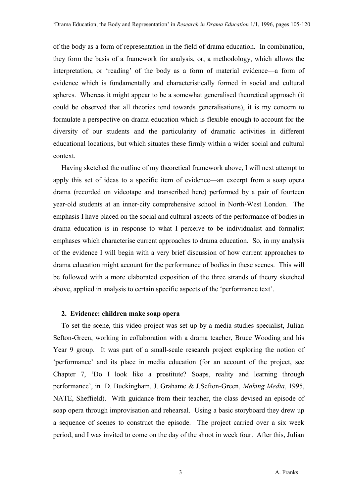of the body as a form of representation in the field of drama education. In combination, they form the basis of a framework for analysis, or, a methodology, which allows the interpretation, or 'reading' of the body as a form of material evidence—a form of evidence which is fundamentally and characteristically formed in social and cultural spheres. Whereas it might appear to be a somewhat generalised theoretical approach (it could be observed that all theories tend towards generalisations), it is my concern to formulate a perspective on drama education which is flexible enough to account for the diversity of our students and the particularity of dramatic activities in different educational locations, but which situates these firmly within a wider social and cultural context.

Having sketched the outline of my theoretical framework above, I will next attempt to apply this set of ideas to a specific item of evidence—an excerpt from a soap opera drama (recorded on videotape and transcribed here) performed by a pair of fourteen year-old students at an inner-city comprehensive school in North-West London. The emphasis I have placed on the social and cultural aspects of the performance of bodies in drama education is in response to what I perceive to be individualist and formalist emphases which characterise current approaches to drama education. So, in my analysis of the evidence I will begin with a very brief discussion of how current approaches to drama education might account for the performance of bodies in these scenes. This will be followed with a more elaborated exposition of the three strands of theory sketched above, applied in analysis to certain specific aspects of the 'performance text'.

## **2. Evidence: children make soap opera**

To set the scene, this video project was set up by a media studies specialist, Julian Sefton-Green, working in collaboration with a drama teacher, Bruce Wooding and his Year 9 group. It was part of a small-scale research project exploring the notion of 'performance' and its place in media education (for an account of the project, see Chapter 7, 'Do I look like a prostitute? Soaps, reality and learning through performance', in D. Buckingham, J. Grahame & J.Sefton-Green, *Making Media*, 1995, NATE, Sheffield). With guidance from their teacher, the class devised an episode of soap opera through improvisation and rehearsal. Using a basic storyboard they drew up a sequence of scenes to construct the episode. The project carried over a six week period, and I was invited to come on the day of the shoot in week four. After this, Julian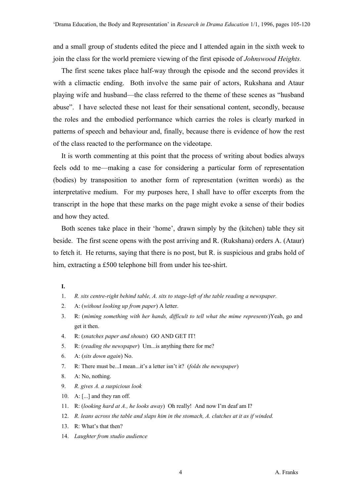and a small group of students edited the piece and I attended again in the sixth week to join the class for the world premiere viewing of the first episode of *Johnswood Heights.*

The first scene takes place half-way through the episode and the second provides it with a climactic ending. Both involve the same pair of actors, Rukshana and Ataur playing wife and husband—the class referred to the theme of these scenes as "husband abuse". I have selected these not least for their sensational content, secondly, because the roles and the embodied performance which carries the roles is clearly marked in patterns of speech and behaviour and, finally, because there is evidence of how the rest of the class reacted to the performance on the videotape.

It is worth commenting at this point that the process of writing about bodies always feels odd to me—making a case for considering a particular form of representation (bodies) by transposition to another form of representation (written words) as the interpretative medium. For my purposes here, I shall have to offer excerpts from the transcript in the hope that these marks on the page might evoke a sense of their bodies and how they acted.

Both scenes take place in their 'home', drawn simply by the (kitchen) table they sit beside. The first scene opens with the post arriving and R. (Rukshana) orders A. (Ataur) to fetch it. He returns, saying that there is no post, but R. is suspicious and grabs hold of him, extracting a £500 telephone bill from under his tee-shirt.

#### **I.**

- 1. *R. sits centre-right behind table, A. sits to stage-left of the table reading a newspaper.*
- 2. A: (*without looking up from paper*) A letter.
- 3. R: (*miming something with her hands, difficult to tell what the mime represents*)Yeah, go and get it then.
- 4. R: (*snatches paper and shouts*) GO AND GET IT!
- 5. R: (*reading the newspaper*) Um...is anything there for me?
- 6. A: (*sits down again*) No.
- 7. R: There must be...I mean...it's a letter isn't it? (*folds the newspaper*)
- 8. A: No, nothing.
- 9. *R. gives A. a suspicious look*
- 10. A: [...] and they ran off.
- 11. R: (*looking hard at A., he looks away*) Oh really! And now I'm deaf am I?
- 12. *R. leans across the table and slaps him in the stomach, A. clutches at it as if winded.*
- 13. R: What's that then?
- 14. *Laughter from studio audience*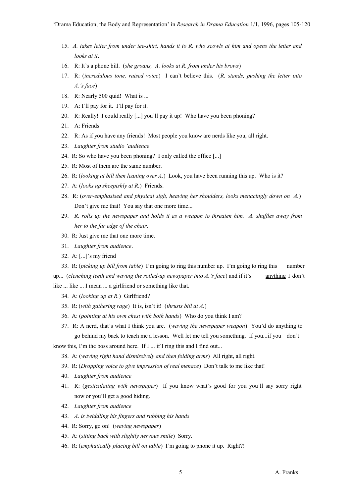- 15. *A. takes letter from under tee-shirt, hands it to R. who scowls at him and opens the letter and looks at it*.
- 16. R: It's a phone bill. (*she groans, A. looks at R. from under his brows*)
- 17. R: (*incredulous tone, raised voice*) I can't believe this. (*R. stands, pushing the letter into A.'s face*)
- 18. R: Nearly 500 quid! What is ...
- 19. A: I'll pay for it. I'll pay for it.
- 20. R: Really! I could really [...] you'll pay it up! Who have you been phoning?
- 21. A: Friends.
- 22. R: As if you have any friends! Most people you know are nerds like you, all right.
- 23. *Laughter from studio 'audience'*
- 24. R: So who have you been phoning? I only called the office [...]
- 25. R: Most of them are the same number.
- 26. R: (*looking at bill then leaning over A.*) Look, you have been running this up. Who is it?
- 27. A: (*looks up sheepishly at R.*) Friends.
- 28. R: (*over-emphasised and physical sigh, heaving her shoulders, looks menacingly down on A.*) Don't give me that! You say that one more time...
- 29. *R. rolls up the newspaper and holds it as a weapon to threaten him. A. shuffles away from her to the far edge of the chair*.
- 30. R: Just give me that one more time.
- 31. *Laughter from audience*.
- 32. A: [...]'s my friend

33. R: (*picking up bill from table*) I'm going to ring this number up. I'm going to ring this number up... (*clenching teeth and waving the rolled-up newspaper into A.'s face*) and if it's anything I don't like ... like ... I mean ... a girlfriend or something like that.

- 34. A: (*looking up at R.*) Girlfriend?
- 35. R: (*with gathering rage*) It is, isn't it! (*thrusts bill at A.*)
- 36. A: (*pointing at his own chest with both hands*) Who do you think I am?
- 37. R: A nerd, that's what I think you are. (*waving the newspaper weapon*) You'd do anything to go behind my back to teach me a lesson. Well let me tell you something. If you...if you don't

know this, I'm the boss around here. If I ... if I ring this and I find out...

- 38. A: (*waving right hand dismissively and then folding arms*) All right, all right.
- 39. R: (*Dropping voice to give impression of real menace*) Don't talk to me like that!
- 40. *Laughter from audience*
- 41. R: (*gesticulating with newspaper*) If you know what's good for you you'll say sorry right now or you'll get a good hiding.
- 42. *Laughter from audience*
- 43. *A. is twiddling his fingers and rubbing his hands*
- 44. R: Sorry, go on! (*waving newspaper*)
- 45. A: (*sitting back with slightly nervous smile*) Sorry.
- 46. R: (*emphatically placing bill on table*) I'm going to phone it up. Right?!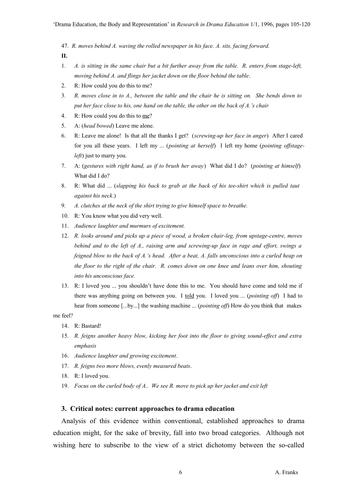47. *R. moves behind A. waving the rolled newspaper in his face. A. sits, facing forward.*

**II.**

- 1*. A. is sitting in the same chair but a bit further away from the table. R. enters from stage-left, moving behind A. and flings her jacket down on the floor behind the table*.
- 2. R: How could you do this to me?
- 3*. R. moves close in to A., between the table and the chair he is sitting on. She bends down to put her face close to his, one hand on the table, the other on the back of A.'s chair*
- 4. R: How could you do this to me?
- 5. A: (*head bowed*) Leave me alone.
- 6. R: Leave me alone! Is that all the thanks I get? (*screwing-up her face in anger*) After I cared for you all these years. I left my ... (*pointing at herself*) I left my home (*pointing offstageleft*) just to marry you.
- 7. A: (*gestures with right hand, as if to brush her away*) What did I do? (*pointing at himself*) What did I do?
- 8. R: What did ... (*slapping his back to grab at the back of his tee-shirt which is pulled taut against his neck*.)
- 9*. A. clutches at the neck of the shirt trying to give himself space to breathe.*
- 10. R: You know what you did very well.
- 11. *Audience laughter and murmurs of excitement.*
- 12. *R. looks around and picks up a piece of wood, a broken chair-leg, from upstage-centre, moves behind and to the left of A., raising arm and screwing-up face in rage and effort, swings a feigned blow to the back of A.'s head. After a beat, A. falls unconscious into a curled heap on the floor to the right of the chair. R. comes down on one knee and leans over him, shouting into his unconscious face.*
- 13. R: I loved you ... you shouldn't have done this to me. You should have come and told me if there was anything going on between you. I told you. I loved you ... (*pointing off*) I had to hear from someone [...by...] the washing machine ... (*pointing off*) How do you think that makes

me feel?

- 14. R: Bastard!
- 15. *R. feigns another heavy blow, kicking her foot into the floor to giving sound-effect and extra emphasis*
- 16. *Audience laughter and growing excitement*.
- 17. *R. feigns two more blows, evenly measured beats*.
- 18. R: I loved you.
- 19. *Focus on the curled body of A.. We see R. move to pick up her jacket and exit left*

#### **3. Critical notes: current approaches to drama education**

Analysis of this evidence within conventional, established approaches to drama education might, for the sake of brevity, fall into two broad categories. Although not wishing here to subscribe to the view of a strict dichotomy between the so-called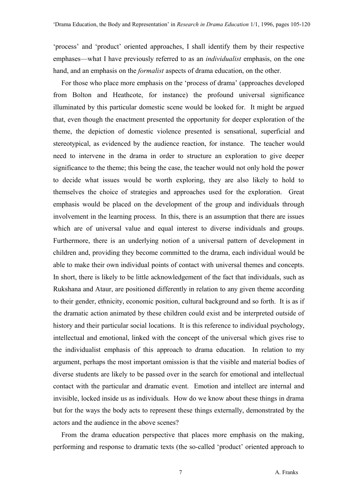'process' and 'product' oriented approaches, I shall identify them by their respective emphases—what I have previously referred to as an *individualist* emphasis, on the one hand, and an emphasis on the *formalist* aspects of drama education, on the other.

For those who place more emphasis on the 'process of drama' (approaches developed from Bolton and Heathcote, for instance) the profound universal significance illuminated by this particular domestic scene would be looked for. It might be argued that, even though the enactment presented the opportunity for deeper exploration of the theme, the depiction of domestic violence presented is sensational, superficial and stereotypical, as evidenced by the audience reaction, for instance. The teacher would need to intervene in the drama in order to structure an exploration to give deeper significance to the theme; this being the case, the teacher would not only hold the power to decide what issues would be worth exploring, they are also likely to hold to themselves the choice of strategies and approaches used for the exploration. Great emphasis would be placed on the development of the group and individuals through involvement in the learning process. In this, there is an assumption that there are issues which are of universal value and equal interest to diverse individuals and groups. Furthermore, there is an underlying notion of a universal pattern of development in children and, providing they become committed to the drama, each individual would be able to make their own individual points of contact with universal themes and concepts. In short, there is likely to be little acknowledgement of the fact that individuals, such as Rukshana and Ataur, are positioned differently in relation to any given theme according to their gender, ethnicity, economic position, cultural background and so forth. It is as if the dramatic action animated by these children could exist and be interpreted outside of history and their particular social locations. It is this reference to individual psychology, intellectual and emotional, linked with the concept of the universal which gives rise to the individualist emphasis of this approach to drama education. In relation to my argument, perhaps the most important omission is that the visible and material bodies of diverse students are likely to be passed over in the search for emotional and intellectual contact with the particular and dramatic event. Emotion and intellect are internal and invisible, locked inside us as individuals. How do we know about these things in drama but for the ways the body acts to represent these things externally, demonstrated by the actors and the audience in the above scenes?

From the drama education perspective that places more emphasis on the making, performing and response to dramatic texts (the so-called 'product' oriented approach to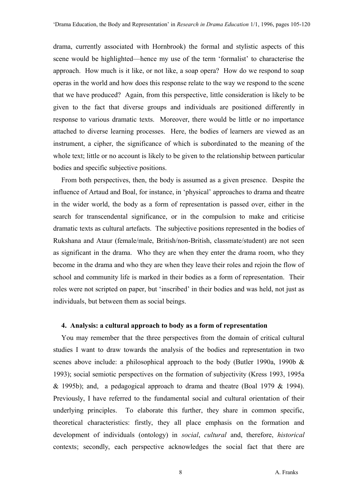drama, currently associated with Hornbrook) the formal and stylistic aspects of this scene would be highlighted—hence my use of the term 'formalist' to characterise the approach. How much is it like, or not like, a soap opera? How do we respond to soap operas in the world and how does this response relate to the way we respond to the scene that we have produced? Again, from this perspective, little consideration is likely to be given to the fact that diverse groups and individuals are positioned differently in response to various dramatic texts. Moreover, there would be little or no importance attached to diverse learning processes. Here, the bodies of learners are viewed as an instrument, a cipher, the significance of which is subordinated to the meaning of the whole text; little or no account is likely to be given to the relationship between particular bodies and specific subjective positions.

From both perspectives, then, the body is assumed as a given presence. Despite the influence of Artaud and Boal, for instance, in 'physical' approaches to drama and theatre in the wider world, the body as a form of representation is passed over, either in the search for transcendental significance, or in the compulsion to make and criticise dramatic texts as cultural artefacts. The subjective positions represented in the bodies of Rukshana and Ataur (female/male, British/non-British, classmate/student) are not seen as significant in the drama. Who they are when they enter the drama room, who they become in the drama and who they are when they leave their roles and rejoin the flow of school and community life is marked in their bodies as a form of representation. Their roles were not scripted on paper, but 'inscribed' in their bodies and was held, not just as individuals, but between them as social beings.

## **4. Analysis: a cultural approach to body as a form of representation**

You may remember that the three perspectives from the domain of critical cultural studies I want to draw towards the analysis of the bodies and representation in two scenes above include: a philosophical approach to the body (Butler 1990a, 1990b  $\&$ 1993); social semiotic perspectives on the formation of subjectivity (Kress 1993, 1995a & 1995b); and, a pedagogical approach to drama and theatre (Boal 1979 & 1994). Previously, I have referred to the fundamental social and cultural orientation of their underlying principles. To elaborate this further, they share in common specific, theoretical characteristics: firstly, they all place emphasis on the formation and development of individuals (ontology) in *social*, *cultural* and, therefore, *historical* contexts; secondly, each perspective acknowledges the social fact that there are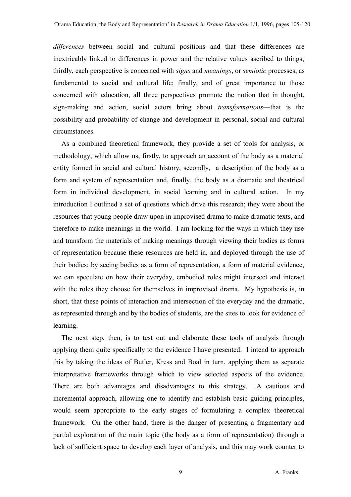*differences* between social and cultural positions and that these differences are inextricably linked to differences in power and the relative values ascribed to things; thirdly, each perspective is concerned with *signs* and *meanings*, or *semiotic* processes, as fundamental to social and cultural life; finally, and of great importance to those concerned with education, all three perspectives promote the notion that in thought, sign-making and action, social actors bring about *transformations*—that is the possibility and probability of change and development in personal, social and cultural circumstances.

As a combined theoretical framework, they provide a set of tools for analysis, or methodology, which allow us, firstly, to approach an account of the body as a material entity formed in social and cultural history, secondly, a description of the body as a form and system of representation and, finally, the body as a dramatic and theatrical form in individual development, in social learning and in cultural action. In my introduction I outlined a set of questions which drive this research; they were about the resources that young people draw upon in improvised drama to make dramatic texts, and therefore to make meanings in the world. I am looking for the ways in which they use and transform the materials of making meanings through viewing their bodies as forms of representation because these resources are held in, and deployed through the use of their bodies; by seeing bodies as a form of representation, a form of material evidence, we can speculate on how their everyday, embodied roles might intersect and interact with the roles they choose for themselves in improvised drama. My hypothesis is, in short, that these points of interaction and intersection of the everyday and the dramatic, as represented through and by the bodies of students, are the sites to look for evidence of learning.

The next step, then, is to test out and elaborate these tools of analysis through applying them quite specifically to the evidence I have presented. I intend to approach this by taking the ideas of Butler, Kress and Boal in turn, applying them as separate interpretative frameworks through which to view selected aspects of the evidence. There are both advantages and disadvantages to this strategy. A cautious and incremental approach, allowing one to identify and establish basic guiding principles, would seem appropriate to the early stages of formulating a complex theoretical framework. On the other hand, there is the danger of presenting a fragmentary and partial exploration of the main topic (the body as a form of representation) through a lack of sufficient space to develop each layer of analysis, and this may work counter to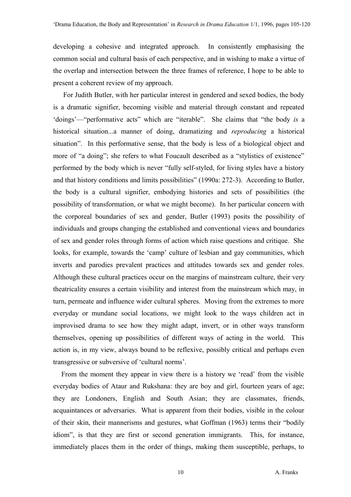developing a cohesive and integrated approach. In consistently emphasising the common social and cultural basis of each perspective, and in wishing to make a virtue of the overlap and intersection between the three frames of reference, I hope to be able to present a coherent review of my approach.

 For Judith Butler, with her particular interest in gendered and sexed bodies, the body is a dramatic signifier, becoming visible and material through constant and repeated 'doings'—"performative acts" which are "iterable". She claims that "the body *is* a historical situation...a manner of doing, dramatizing and *reproducing* a historical situation". In this performative sense, that the body is less of a biological object and more of "a doing"; she refers to what Foucault described as a "stylistics of existence" performed by the body which is never "fully self-styled, for living styles have a history and that history conditions and limits possibilities" (1990a: 272-3). According to Butler, the body is a cultural signifier, embodying histories and sets of possibilities (the possibility of transformation, or what we might become). In her particular concern with the corporeal boundaries of sex and gender, Butler (1993) posits the possibility of individuals and groups changing the established and conventional views and boundaries of sex and gender roles through forms of action which raise questions and critique. She looks, for example, towards the 'camp' culture of lesbian and gay communities, which inverts and parodies prevalent practices and attitudes towards sex and gender roles. Although these cultural practices occur on the margins of mainstream culture, their very theatricality ensures a certain visibility and interest from the mainstream which may, in turn, permeate and influence wider cultural spheres. Moving from the extremes to more everyday or mundane social locations, we might look to the ways children act in improvised drama to see how they might adapt, invert, or in other ways transform themselves, opening up possibilities of different ways of acting in the world. This action is, in my view, always bound to be reflexive, possibly critical and perhaps even transgressive or subversive of 'cultural norms'.

From the moment they appear in view there is a history we 'read' from the visible everyday bodies of Ataur and Rukshana: they are boy and girl, fourteen years of age; they are Londoners, English and South Asian; they are classmates, friends, acquaintances or adversaries. What is apparent from their bodies, visible in the colour of their skin, their mannerisms and gestures, what Goffman (1963) terms their "bodily idiom", is that they are first or second generation immigrants. This, for instance, immediately places them in the order of things, making them susceptible, perhaps, to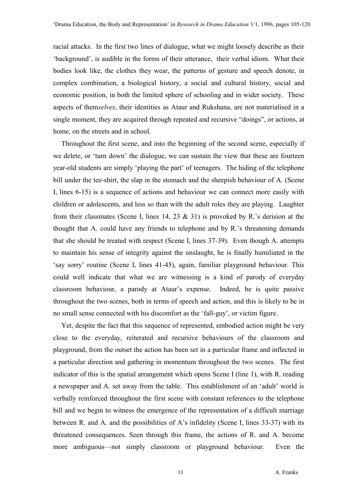racial attacks. In the first two lines of dialogue, what we might loosely describe as their 'background', is audible in the forms of their utterance, their verbal idiom. What their bodies look like, the clothes they wear, the patterns of gesture and speech denote, in complex combination, a biological history, a social and cultural history, social and economic position, in both the limited sphere of schooling and in wider society. These aspects of them*selves*, their identities as Ataur and Rukshana, are not materialised in a single moment, they are acquired through repeated and recursive "doings", or actions, at home, on the streets and in school.

Throughout the first scene, and into the beginning of the second scene, especially if we delete, or 'turn down' the dialogue, we can sustain the view that these are fourteen year-old students are simply 'playing the part' of teenagers. The hiding of the telephone bill under the tee-shirt, the slap in the stomach and the sheepish behaviour of A. (Scene I, lines 6-15) is a sequence of actions and behaviour we can connect more easily with children or adolescents, and less so than with the adult roles they are playing. Laughter from their classmates (Scene I, lines  $14$ ,  $23 \& 31$ ) is provoked by R.'s derision at the thought that A. could have any friends to telephone and by R.'s threatening demands that she should be treated with respect (Scene I, lines 37-39). Even though A. attempts to maintain his sense of integrity against the onslaught, he is finally humiliated in the 'say sorry' routine (Scene I, lines 41-45), again, familiar playground behaviour. This could well indicate that what we are witnessing is a kind of parody of everyday classroom behaviour, a parody at Ataur's expense. Indeed, he is quite passive throughout the two scenes, both in terms of speech and action, and this is likely to be in no small sense connected with his discomfort as the 'fall-guy', or victim figure.

Yet, despite the fact that this sequence of represented, embodied action might be very close to the everyday, reiterated and recursive behaviours of the classroom and playground, from the outset the action has been set in a particular frame and inflected in a particular direction and gathering in momentum throughout the two scenes. The first indicator of this is the spatial arrangement which opens Scene I (line 1), with R. reading a newspaper and A. set away from the table. This establishment of an 'adult' world is verbally reinforced throughout the first scene with constant references to the telephone bill and we begin to witness the emergence of the representation of a difficult marriage between R. and A. and the possibilities of A's infidelity (Scene I, lines 33-37) with its threatened consequences. Seen through this frame, the actions of R. and A. become more ambiguous—not simply classroom or playground behaviour. Even the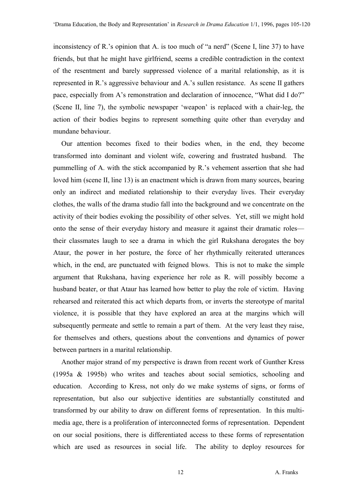inconsistency of R.'s opinion that A. is too much of "a nerd" (Scene I, line 37) to have friends, but that he might have girlfriend, seems a credible contradiction in the context of the resentment and barely suppressed violence of a marital relationship, as it is represented in R.'s aggressive behaviour and A.'s sullen resistance. As scene II gathers pace, especially from A's remonstration and declaration of innocence, "What did I do?" (Scene II, line 7), the symbolic newspaper 'weapon' is replaced with a chair-leg, the action of their bodies begins to represent something quite other than everyday and mundane behaviour.

Our attention becomes fixed to their bodies when, in the end, they become transformed into dominant and violent wife, cowering and frustrated husband. The pummelling of A. with the stick accompanied by R.'s vehement assertion that she had loved him (scene II, line 13) is an enactment which is drawn from many sources, bearing only an indirect and mediated relationship to their everyday lives. Their everyday clothes, the walls of the drama studio fall into the background and we concentrate on the activity of their bodies evoking the possibility of other selves. Yet, still we might hold onto the sense of their everyday history and measure it against their dramatic roles their classmates laugh to see a drama in which the girl Rukshana derogates the boy Ataur, the power in her posture, the force of her rhythmically reiterated utterances which, in the end, are punctuated with feigned blows. This is not to make the simple argument that Rukshana, having experience her role as R. will possibly become a husband beater, or that Ataur has learned how better to play the role of victim. Having rehearsed and reiterated this act which departs from, or inverts the stereotype of marital violence, it is possible that they have explored an area at the margins which will subsequently permeate and settle to remain a part of them. At the very least they raise, for themselves and others, questions about the conventions and dynamics of power between partners in a marital relationship.

Another major strand of my perspective is drawn from recent work of Gunther Kress (1995a & 1995b) who writes and teaches about social semiotics, schooling and education. According to Kress, not only do we make systems of signs, or forms of representation, but also our subjective identities are substantially constituted and transformed by our ability to draw on different forms of representation. In this multimedia age, there is a proliferation of interconnected forms of representation. Dependent on our social positions, there is differentiated access to these forms of representation which are used as resources in social life. The ability to deploy resources for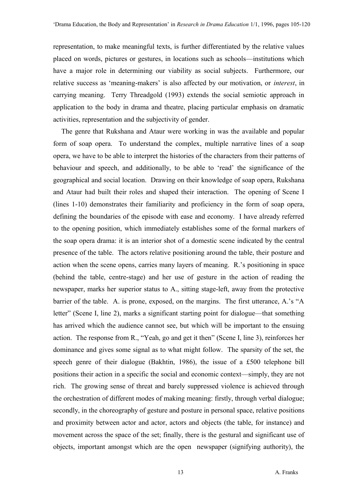representation, to make meaningful texts, is further differentiated by the relative values placed on words, pictures or gestures, in locations such as schools—institutions which have a major role in determining our viability as social subjects. Furthermore, our relative success as 'meaning-makers' is also affected by our motivation, or *interest*, in carrying meaning. Terry Threadgold (1993) extends the social semiotic approach in application to the body in drama and theatre, placing particular emphasis on dramatic activities, representation and the subjectivity of gender.

The genre that Rukshana and Ataur were working in was the available and popular form of soap opera. To understand the complex, multiple narrative lines of a soap opera, we have to be able to interpret the histories of the characters from their patterns of behaviour and speech, and additionally, to be able to 'read' the significance of the geographical and social location. Drawing on their knowledge of soap opera, Rukshana and Ataur had built their roles and shaped their interaction. The opening of Scene I (lines 1-10) demonstrates their familiarity and proficiency in the form of soap opera, defining the boundaries of the episode with ease and economy. I have already referred to the opening position, which immediately establishes some of the formal markers of the soap opera drama: it is an interior shot of a domestic scene indicated by the central presence of the table. The actors relative positioning around the table, their posture and action when the scene opens, carries many layers of meaning. R.'s positioning in space (behind the table, centre-stage) and her use of gesture in the action of reading the newspaper, marks her superior status to A., sitting stage-left, away from the protective barrier of the table. A. is prone, exposed, on the margins. The first utterance, A.'s "A letter" (Scene I, line 2), marks a significant starting point for dialogue—that something has arrived which the audience cannot see, but which will be important to the ensuing action. The response from R., "Yeah, go and get it then" (Scene I, line 3), reinforces her dominance and gives some signal as to what might follow. The sparsity of the set, the speech genre of their dialogue (Bakhtin, 1986), the issue of a £500 telephone bill positions their action in a specific the social and economic context—simply, they are not rich. The growing sense of threat and barely suppressed violence is achieved through the orchestration of different modes of making meaning: firstly, through verbal dialogue; secondly, in the choreography of gesture and posture in personal space, relative positions and proximity between actor and actor, actors and objects (the table, for instance) and movement across the space of the set; finally, there is the gestural and significant use of objects, important amongst which are the open newspaper (signifying authority), the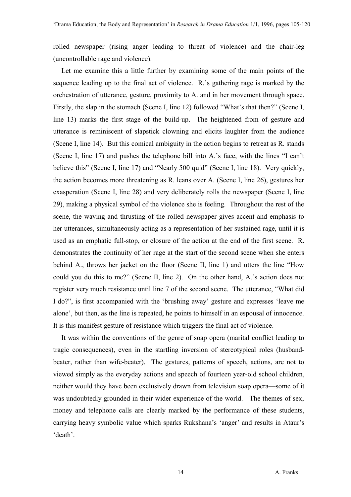rolled newspaper (rising anger leading to threat of violence) and the chair-leg (uncontrollable rage and violence).

Let me examine this a little further by examining some of the main points of the sequence leading up to the final act of violence. R.'s gathering rage is marked by the orchestration of utterance, gesture, proximity to A. and in her movement through space. Firstly, the slap in the stomach (Scene I, line 12) followed "What's that then?" (Scene I, line 13) marks the first stage of the build-up. The heightened from of gesture and utterance is reminiscent of slapstick clowning and elicits laughter from the audience (Scene I, line 14). But this comical ambiguity in the action begins to retreat as R. stands (Scene I, line 17) and pushes the telephone bill into A.'s face, with the lines "I can't believe this" (Scene I, line 17) and "Nearly 500 quid" (Scene I, line 18). Very quickly, the action becomes more threatening as R. leans over A. (Scene I, line 26), gestures her exasperation (Scene I, line 28) and very deliberately rolls the newspaper (Scene I, line 29), making a physical symbol of the violence she is feeling. Throughout the rest of the scene, the waving and thrusting of the rolled newspaper gives accent and emphasis to her utterances, simultaneously acting as a representation of her sustained rage, until it is used as an emphatic full-stop, or closure of the action at the end of the first scene. R. demonstrates the continuity of her rage at the start of the second scene when she enters behind A., throws her jacket on the floor (Scene II, line 1) and utters the line "How could you do this to me?" (Scene II, line 2). On the other hand, A.'s action does not register very much resistance until line 7 of the second scene. The utterance, "What did I do?", is first accompanied with the 'brushing away' gesture and expresses 'leave me alone', but then, as the line is repeated, he points to himself in an espousal of innocence. It is this manifest gesture of resistance which triggers the final act of violence.

It was within the conventions of the genre of soap opera (marital conflict leading to tragic consequences), even in the startling inversion of stereotypical roles (husbandbeater, rather than wife-beater). The gestures, patterns of speech, actions, are not to viewed simply as the everyday actions and speech of fourteen year-old school children, neither would they have been exclusively drawn from television soap opera—some of it was undoubtedly grounded in their wider experience of the world. The themes of sex, money and telephone calls are clearly marked by the performance of these students, carrying heavy symbolic value which sparks Rukshana's 'anger' and results in Ataur's 'death'.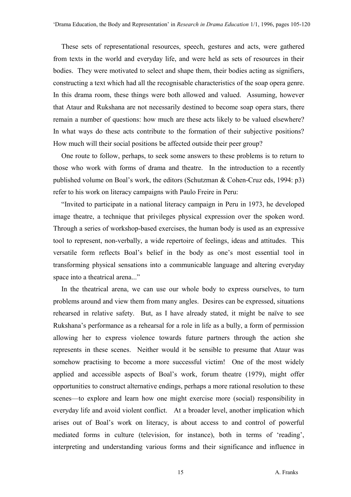These sets of representational resources, speech, gestures and acts, were gathered from texts in the world and everyday life, and were held as sets of resources in their bodies. They were motivated to select and shape them, their bodies acting as signifiers, constructing a text which had all the recognisable characteristics of the soap opera genre. In this drama room, these things were both allowed and valued. Assuming, however that Ataur and Rukshana are not necessarily destined to become soap opera stars, there remain a number of questions: how much are these acts likely to be valued elsewhere? In what ways do these acts contribute to the formation of their subjective positions? How much will their social positions be affected outside their peer group?

One route to follow, perhaps, to seek some answers to these problems is to return to those who work with forms of drama and theatre. In the introduction to a recently published volume on Boal's work, the editors (Schutzman & Cohen-Cruz eds, 1994: p3) refer to his work on literacy campaigns with Paulo Freire in Peru:

"Invited to participate in a national literacy campaign in Peru in 1973, he developed image theatre, a technique that privileges physical expression over the spoken word. Through a series of workshop-based exercises, the human body is used as an expressive tool to represent, non-verbally, a wide repertoire of feelings, ideas and attitudes. This versatile form reflects Boal's belief in the body as one's most essential tool in transforming physical sensations into a communicable language and altering everyday space into a theatrical arena..."

In the theatrical arena, we can use our whole body to express ourselves, to turn problems around and view them from many angles. Desires can be expressed, situations rehearsed in relative safety. But, as I have already stated, it might be naïve to see Rukshana's performance as a rehearsal for a role in life as a bully, a form of permission allowing her to express violence towards future partners through the action she represents in these scenes. Neither would it be sensible to presume that Ataur was somehow practising to become a more successful victim! One of the most widely applied and accessible aspects of Boal's work, forum theatre (1979), might offer opportunities to construct alternative endings, perhaps a more rational resolution to these scenes—to explore and learn how one might exercise more (social) responsibility in everyday life and avoid violent conflict. At a broader level, another implication which arises out of Boal's work on literacy, is about access to and control of powerful mediated forms in culture (television, for instance), both in terms of 'reading', interpreting and understanding various forms and their significance and influence in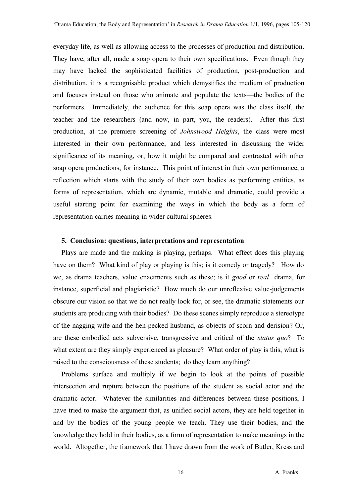everyday life, as well as allowing access to the processes of production and distribution. They have, after all, made a soap opera to their own specifications. Even though they may have lacked the sophisticated facilities of production, post-production and distribution, it is a recognisable product which demystifies the medium of production and focuses instead on those who animate and populate the texts—the bodies of the performers. Immediately, the audience for this soap opera was the class itself, the teacher and the researchers (and now, in part, you, the readers). After this first production, at the premiere screening of *Johnswood Heights*, the class were most interested in their own performance, and less interested in discussing the wider significance of its meaning, or, how it might be compared and contrasted with other soap opera productions, for instance. This point of interest in their own performance, a reflection which starts with the study of their own bodies as performing entities, as forms of representation, which are dynamic, mutable and dramatic, could provide a useful starting point for examining the ways in which the body as a form of representation carries meaning in wider cultural spheres.

### **5. Conclusion: questions, interpretations and representation**

Plays are made and the making is playing, perhaps. What effect does this playing have on them? What kind of play or playing is this; is it comedy or tragedy? How do we, as drama teachers, value enactments such as these; is it *good* or *real* drama, for instance, superficial and plagiaristic? How much do our unreflexive value-judgements obscure our vision so that we do not really look for, or see, the dramatic statements our students are producing with their bodies? Do these scenes simply reproduce a stereotype of the nagging wife and the hen-pecked husband, as objects of scorn and derision? Or, are these embodied acts subversive, transgressive and critical of the *status quo*? To what extent are they simply experienced as pleasure? What order of play is this, what is raised to the consciousness of these students; do they learn anything?

Problems surface and multiply if we begin to look at the points of possible intersection and rupture between the positions of the student as social actor and the dramatic actor. Whatever the similarities and differences between these positions, I have tried to make the argument that, as unified social actors, they are held together in and by the bodies of the young people we teach. They use their bodies, and the knowledge they hold in their bodies, as a form of representation to make meanings in the world. Altogether, the framework that I have drawn from the work of Butler, Kress and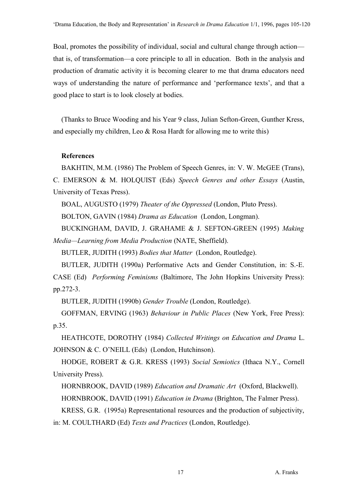Boal, promotes the possibility of individual, social and cultural change through action that is, of transformation—a core principle to all in education. Both in the analysis and production of dramatic activity it is becoming clearer to me that drama educators need ways of understanding the nature of performance and 'performance texts', and that a good place to start is to look closely at bodies.

(Thanks to Bruce Wooding and his Year 9 class, Julian Sefton-Green, Gunther Kress, and especially my children, Leo & Rosa Hardt for allowing me to write this)

## **References**

BAKHTIN, M.M. (1986) The Problem of Speech Genres, in: V. W. McGEE (Trans), C. EMERSON & M. HOLQUIST (Eds) *Speech Genres and other Essays* (Austin,

University of Texas Press).

BOAL, AUGUSTO (1979) *Theater of the Oppressed* (London, Pluto Press).

BOLTON, GAVIN (1984) *Drama as Education* (London, Longman).

BUCKINGHAM, DAVID, J. GRAHAME & J. SEFTON-GREEN (1995) *Making Media—Learning from Media Production* (NATE, Sheffield).

BUTLER, JUDITH (1993) *Bodies that Matter* (London, Routledge).

BUTLER, JUDITH (1990a) Performative Acts and Gender Constitution, in: S.-E. CASE (Ed) *Performing Feminisms* (Baltimore, The John Hopkins University Press): pp.272-3.

BUTLER, JUDITH (1990b) *Gender Trouble* (London, Routledge).

GOFFMAN, ERVING (1963) *Behaviour in Public Places* (New York, Free Press): p.35.

HEATHCOTE, DOROTHY (1984) *Collected Writings on Education and Drama* L. JOHNSON & C. O'NEILL (Eds) (London, Hutchinson).

HODGE, ROBERT & G.R. KRESS (1993) *Social Semiotics* (Ithaca N.Y., Cornell University Press).

HORNBROOK, DAVID (1989) *Education and Dramatic Art* (Oxford, Blackwell).

HORNBROOK, DAVID (1991) *Education in Drama* (Brighton, The Falmer Press).

KRESS, G.R. (1995a) Representational resources and the production of subjectivity,

in: M. COULTHARD (Ed) *Texts and Practices* (London, Routledge).